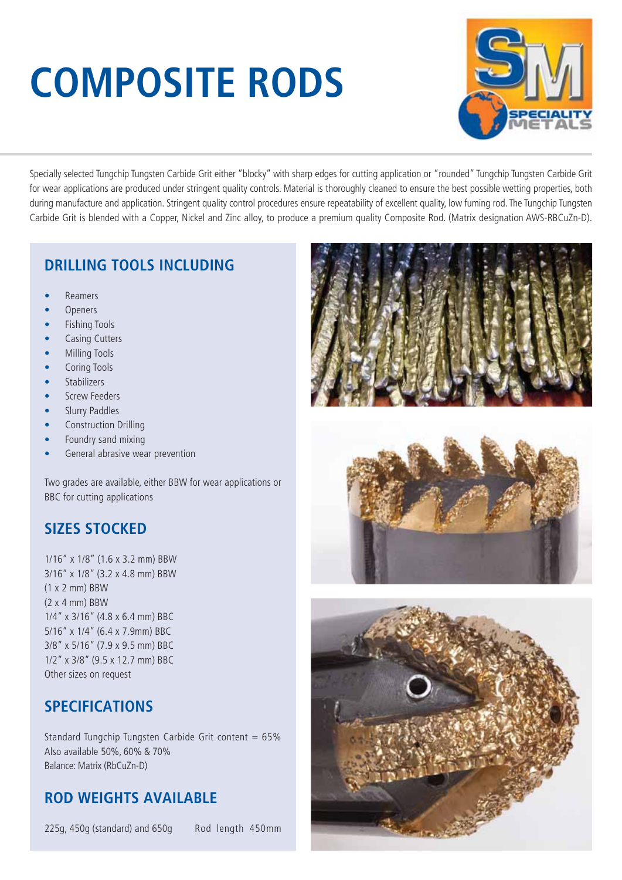# **COMPOSITE RODS**



Specially selected Tungchip Tungsten Carbide Grit either "blocky" with sharp edges for cutting application or "rounded" Tungchip Tungsten Carbide Grit for wear applications are produced under stringent quality controls. Material is thoroughly cleaned to ensure the best possible wetting properties, both during manufacture and application. Stringent quality control procedures ensure repeatability of excellent quality, low fuming rod. The Tungchip Tungsten Carbide Grit is blended with a Copper, Nickel and Zinc alloy, to produce a premium quality Composite Rod. (Matrix designation AWS-RBCuZn-D).

#### **DRILLING TOOLS INCLUDING**

- Reamers
- **Openers**
- Fishing Tools
- Casing Cutters
- Milling Tools
- Coring Tools
- Stabilizers
- **Screw Feeders**
- Slurry Paddles
- Construction Drilling
- Foundry sand mixing
- General abrasive wear prevention

Two grades are available, either BBW for wear applications or BBC for cutting applications

#### **SIZES STOCKED**

1/16" x 1/8" (1.6 x 3.2 mm) BBW 3/16" x 1/8" (3.2 x 4.8 mm) BBW (1 x 2 mm) BBW  $(2 \times 4 \text{ mm})$  BBW 1/4" x 3/16" (4.8 x 6.4 mm) BBC 5/16" x 1/4" (6.4 x 7.9mm) BBC 3/8" x 5/16" (7.9 x 9.5 mm) BBC 1/2" x 3/8" (9.5 x 12.7 mm) BBC Other sizes on request

#### **SPECIFICATIONS**

Standard Tungchip Tungsten Carbide Grit content =  $65\%$ Also available 50%, 60% & 70% Balance: Matrix (RbCuZn-D)

#### **ROD WEIGHTS AVAILABLE**

225g, 450g (standard) and 650g Rod length 450mm